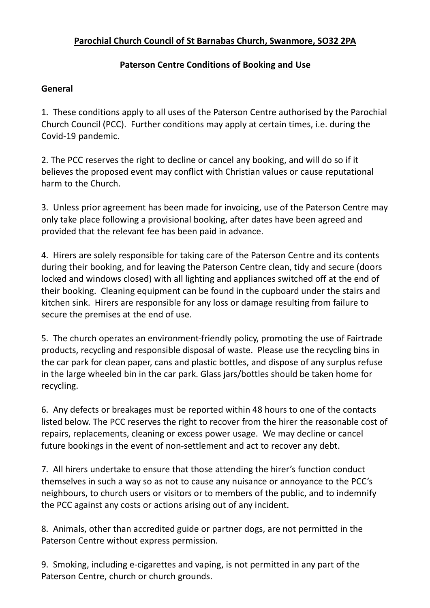## **Paterson Centre Conditions of Booking and Use**

## **General**

1. These conditions apply to all uses of the Paterson Centre authorised by the Parochial Church Council (PCC). Further conditions may apply at certain times, i.e. during the Covid-19 pandemic.

2. The PCC reserves the right to decline or cancel any booking, and will do so if it believes the proposed event may conflict with Christian values or cause reputational harm to the Church.

3. Unless prior agreement has been made for invoicing, use of the Paterson Centre may only take place following a provisional booking, after dates have been agreed and provided that the relevant fee has been paid in advance.

4. Hirers are solely responsible for taking care of the Paterson Centre and its contents during their booking, and for leaving the Paterson Centre clean, tidy and secure (doors locked and windows closed) with all lighting and appliances switched off at the end of their booking. Cleaning equipment can be found in the cupboard under the stairs and kitchen sink. Hirers are responsible for any loss or damage resulting from failure to secure the premises at the end of use.

5. The church operates an environment-friendly policy, promoting the use of Fairtrade products, recycling and responsible disposal of waste. Please use the recycling bins in the car park for clean paper, cans and plastic bottles, and dispose of any surplus refuse in the large wheeled bin in the car park. Glass jars/bottles should be taken home for recycling.

6. Any defects or breakages must be reported within 48 hours to one of the contacts listed below. The PCC reserves the right to recover from the hirer the reasonable cost of repairs, replacements, cleaning or excess power usage. We may decline or cancel future bookings in the event of non-settlement and act to recover any debt.

7. All hirers undertake to ensure that those attending the hirer's function conduct themselves in such a way so as not to cause any nuisance or annoyance to the PCC's neighbours, to church users or visitors or to members of the public, and to indemnify the PCC against any costs or actions arising out of any incident.

8. Animals, other than accredited guide or partner dogs, are not permitted in the Paterson Centre without express permission.

9. Smoking, including e-cigarettes and vaping, is not permitted in any part of the Paterson Centre, church or church grounds.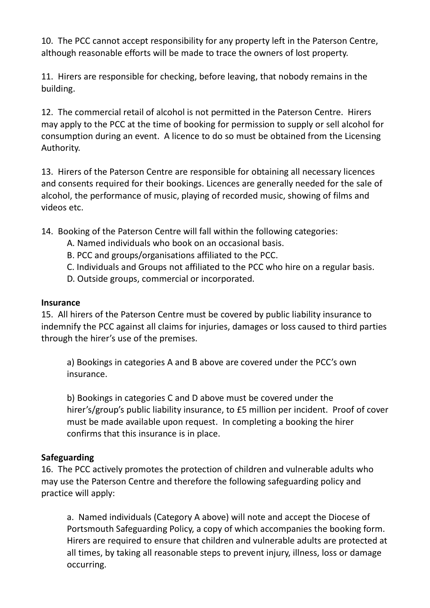10. The PCC cannot accept responsibility for any property left in the Paterson Centre, although reasonable efforts will be made to trace the owners of lost property.

11. Hirers are responsible for checking, before leaving, that nobody remains in the building.

12. The commercial retail of alcohol is not permitted in the Paterson Centre. Hirers may apply to the PCC at the time of booking for permission to supply or sell alcohol for consumption during an event. A licence to do so must be obtained from the Licensing Authority.

13. Hirers of the Paterson Centre are responsible for obtaining all necessary licences and consents required for their bookings. Licences are generally needed for the sale of alcohol, the performance of music, playing of recorded music, showing of films and videos etc.

14. Booking of the Paterson Centre will fall within the following categories:

- A. Named individuals who book on an occasional basis.
- B. PCC and groups/organisations affiliated to the PCC.
- C. Individuals and Groups not affiliated to the PCC who hire on a regular basis.
- D. Outside groups, commercial or incorporated.

#### **Insurance**

15. All hirers of the Paterson Centre must be covered by public liability insurance to indemnify the PCC against all claims for injuries, damages or loss caused to third parties through the hirer's use of the premises.

a) Bookings in categories A and B above are covered under the PCC's own insurance.

b) Bookings in categories C and D above must be covered under the hirer's/group's public liability insurance, to £5 million per incident. Proof of cover must be made available upon request. In completing a booking the hirer confirms that this insurance is in place.

### **Safeguarding**

16. The PCC actively promotes the protection of children and vulnerable adults who may use the Paterson Centre and therefore the following safeguarding policy and practice will apply:

a. Named individuals (Category A above) will note and accept the Diocese of Portsmouth Safeguarding Policy, a copy of which accompanies the booking form. Hirers are required to ensure that children and vulnerable adults are protected at all times, by taking all reasonable steps to prevent injury, illness, loss or damage occurring.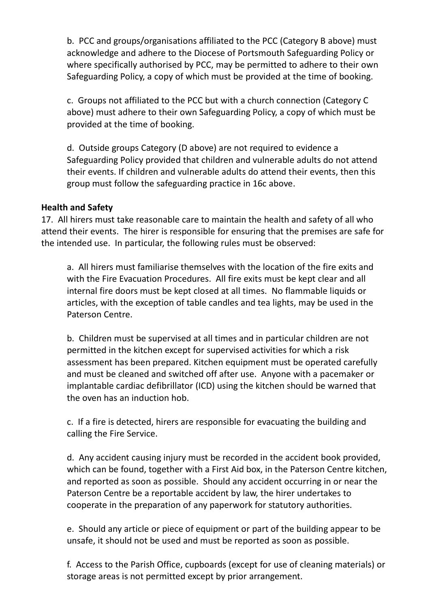b. PCC and groups/organisations affiliated to the PCC (Category B above) must acknowledge and adhere to the Diocese of Portsmouth Safeguarding Policy or where specifically authorised by PCC, may be permitted to adhere to their own Safeguarding Policy, a copy of which must be provided at the time of booking.

c. Groups not affiliated to the PCC but with a church connection (Category C above) must adhere to their own Safeguarding Policy, a copy of which must be provided at the time of booking.

d. Outside groups Category (D above) are not required to evidence a Safeguarding Policy provided that children and vulnerable adults do not attend their events. If children and vulnerable adults do attend their events, then this group must follow the safeguarding practice in 16c above.

#### **Health and Safety**

17. All hirers must take reasonable care to maintain the health and safety of all who attend their events. The hirer is responsible for ensuring that the premises are safe for the intended use. In particular, the following rules must be observed:

a. All hirers must familiarise themselves with the location of the fire exits and with the Fire Evacuation Procedures. All fire exits must be kept clear and all internal fire doors must be kept closed at all times. No flammable liquids or articles, with the exception of table candles and tea lights, may be used in the Paterson Centre.

b. Children must be supervised at all times and in particular children are not permitted in the kitchen except for supervised activities for which a risk assessment has been prepared. Kitchen equipment must be operated carefully and must be cleaned and switched off after use. Anyone with a pacemaker or implantable cardiac defibrillator (ICD) using the kitchen should be warned that the oven has an induction hob.

c. If a fire is detected, hirers are responsible for evacuating the building and calling the Fire Service.

d. Any accident causing injury must be recorded in the accident book provided, which can be found, together with a First Aid box, in the Paterson Centre kitchen, and reported as soon as possible. Should any accident occurring in or near the Paterson Centre be a reportable accident by law, the hirer undertakes to cooperate in the preparation of any paperwork for statutory authorities.

e. Should any article or piece of equipment or part of the building appear to be unsafe, it should not be used and must be reported as soon as possible.

f. Access to the Parish Office, cupboards (except for use of cleaning materials) or storage areas is not permitted except by prior arrangement.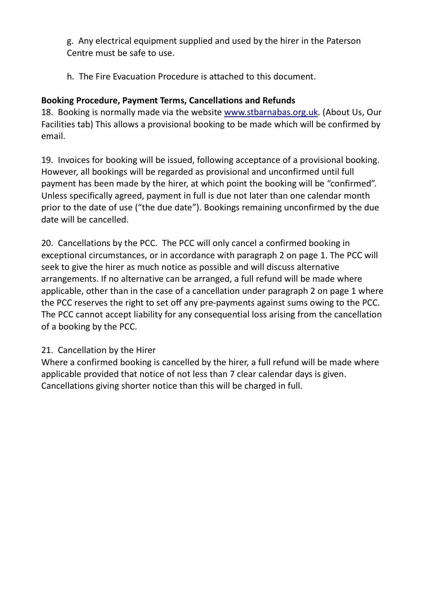g. Any electrical equipment supplied and used by the hirer in the Paterson Centre must be safe to use.

h. The Fire Evacuation Procedure is attached to this document.

## **Booking Procedure, Payment Terms, Cancellations and Refunds**

18. Booking is normally made via the website www.stbarnabas.org.uk. (About Us, Our Facilities tab) This allows a provisional booking to be made which will be confirmed by email.

19. Invoices for booking will be issued, following acceptance of a provisional booking. However, all bookings will be regarded as provisional and unconfirmed until full payment has been made by the hirer, at which point the booking will be "confirmed". Unless specifically agreed, payment in full is due not later than one calendar month prior to the date of use ("the due date"). Bookings remaining unconfirmed by the due date will be cancelled.

20. Cancellations by the PCC. The PCC will only cancel a confirmed booking in exceptional circumstances, or in accordance with paragraph 2 on page 1. The PCC will seek to give the hirer as much notice as possible and will discuss alternative arrangements. If no alternative can be arranged, a full refund will be made where applicable, other than in the case of a cancellation under paragraph 2 on page 1 where the PCC reserves the right to set off any pre-payments against sums owing to the PCC. The PCC cannot accept liability for any consequential loss arising from the cancellation of a booking by the PCC.

## 21. Cancellation by the Hirer

Where a confirmed booking is cancelled by the hirer, a full refund will be made where applicable provided that notice of not less than 7 clear calendar days is given. Cancellations giving shorter notice than this will be charged in full.